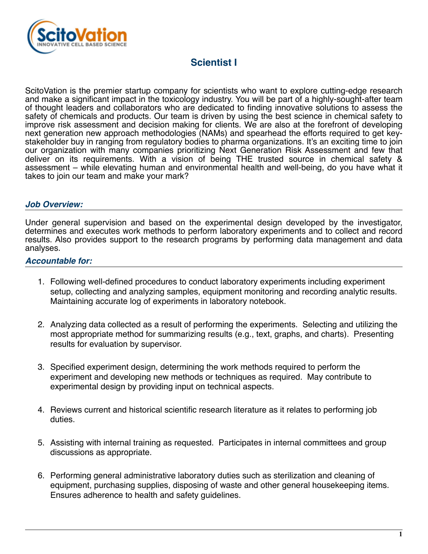

# **Scientist I**

ScitoVation is the premier startup company for scientists who want to explore cutting-edge research and make a significant impact in the toxicology industry. You will be part of a highly-sought-after team of thought leaders and collaborators who are dedicated to finding innovative solutions to assess the safety of chemicals and products. Our team is driven by using the best science in chemical safety to improve risk assessment and decision making for clients. We are also at the forefront of developing next generation new approach methodologies (NAMs) and spearhead the efforts required to get keystakeholder buy in ranging from regulatory bodies to pharma organizations. It's an exciting time to join our organization with many companies prioritizing Next Generation Risk Assessment and few that deliver on its requirements. With a vision of being THE trusted source in chemical safety & assessment – while elevating human and environmental health and well-being, do you have what it takes to join our team and make your mark?

# *Job Overview:*

Under general supervision and based on the experimental design developed by the investigator, determines and executes work methods to perform laboratory experiments and to collect and record results. Also provides support to the research programs by performing data management and data analyses.

# *Accountable for:*

- 1. Following well-defined procedures to conduct laboratory experiments including experiment setup, collecting and analyzing samples, equipment monitoring and recording analytic results. Maintaining accurate log of experiments in laboratory notebook.
- 2. Analyzing data collected as a result of performing the experiments. Selecting and utilizing the most appropriate method for summarizing results (e.g., text, graphs, and charts). Presenting results for evaluation by supervisor.
- 3. Specified experiment design, determining the work methods required to perform the experiment and developing new methods or techniques as required. May contribute to experimental design by providing input on technical aspects.
- 4. Reviews current and historical scientific research literature as it relates to performing job duties.
- 5. Assisting with internal training as requested. Participates in internal committees and group discussions as appropriate.
- 6. Performing general administrative laboratory duties such as sterilization and cleaning of equipment, purchasing supplies, disposing of waste and other general housekeeping items. Ensures adherence to health and safety guidelines.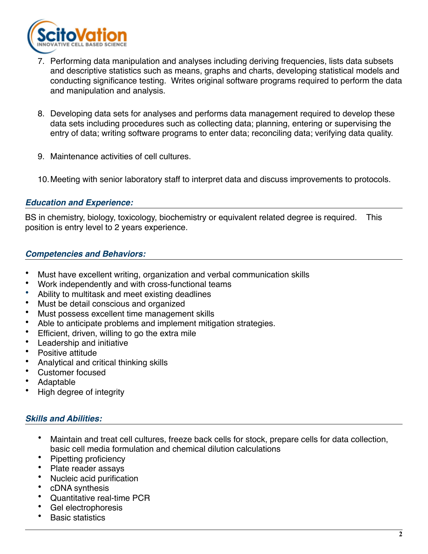

- 7. Performing data manipulation and analyses including deriving frequencies, lists data subsets and descriptive statistics such as means, graphs and charts, developing statistical models and conducting significance testing. Writes original software programs required to perform the data and manipulation and analysis.
- 8. Developing data sets for analyses and performs data management required to develop these data sets including procedures such as collecting data; planning, entering or supervising the entry of data; writing software programs to enter data; reconciling data; verifying data quality.
- 9. Maintenance activities of cell cultures.
- 10.Meeting with senior laboratory staff to interpret data and discuss improvements to protocols.

# *Education and Experience:*

BS in chemistry, biology, toxicology, biochemistry or equivalent related degree is required. This position is entry level to 2 years experience.

# *Competencies and Behaviors:*

- Must have excellent writing, organization and verbal communication skills
- Work independently and with cross-functional teams
- Ability to multitask and meet existing deadlines
- Must be detail conscious and organized
- Must possess excellent time management skills
- Able to anticipate problems and implement mitigation strategies.
- Efficient, driven, willing to go the extra mile
- Leadership and initiative
- Positive attitude
- Analytical and critical thinking skills
- Customer focused
- Adaptable
- High degree of integrity

# *Skills and Abilities:*

- Maintain and treat cell cultures, freeze back cells for stock, prepare cells for data collection, basic cell media formulation and chemical dilution calculations
- Pipetting proficiency
- Plate reader assays
- Nucleic acid purification
- cDNA synthesis
- Quantitative real-time PCR
- Gel electrophoresis
- Basic statistics